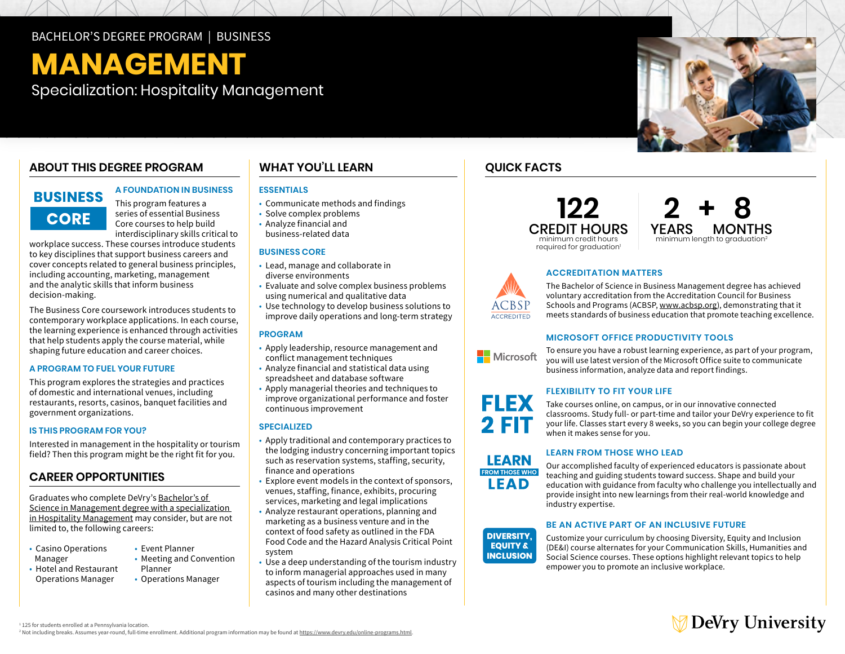## BACHELOR'S DEGREE PROGRAM | BUSINESS

# **MANAGEMENT**

Specialization: Hospitality Management

## **ABOUT THIS DEGREE PROGRAM**

# **BUSINESS CORE**

**A FOUNDATION IN BUSINESS** 

This program features a series of essential Business Core courses to help build interdisciplinary skills critical to

workplace success. These courses introduce students to key disciplines that support business careers and cover concepts related to general business principles, including accounting, marketing, management and the analytic skills that inform business decision-making.

The Business Core coursework introduces students to contemporary workplace applications. In each course, the learning experience is enhanced through activities that help students apply the course material, while shaping future education and career choices.

## **A PROGRAM TO FUEL YOUR FUTURE**

This program explores the strategies and practices of domestic and international venues, including restaurants, resorts, casinos, banquet facilities and government organizations.

#### **IS THIS PROGRAM FOR YOU?**

Interested in management in the hospitality or tourism field? Then this program might be the right fit for you.

## **CAREER OPPORTUNITIES**

Graduates who complete DeVry's [Bachelor's of](https://www.devry.edu/online-programs/bachelors-degrees/business/hospitality-management-specialization.html)  [Science in Management degree with a specialization](https://www.devry.edu/online-programs/bachelors-degrees/business/hospitality-management-specialization.html)  [in Hospitality Management](https://www.devry.edu/online-programs/bachelors-degrees/business/hospitality-management-specialization.html) may consider, but are not limited to, the following careers:

- Casino Operations Event Planner<br>Manager Meeting and C
	-
	-
- Hotel and Restaurant Planner
- Meeting and Convention
- 
- Operations Manager Operations Manager

## **WHAT YOU'LL LEARN**

## **ESSENTIALS**

- Communicate methods and findings
- Solve complex problems • Analyze financial and
- business-related data

## **BUSINESS CORE**

- Lead, manage and collaborate in diverse environments
- Evaluate and solve complex business problems using numerical and qualitative data
- Use technology to develop business solutions to improve daily operations and long-term strategy

#### **PROGRAM**

- Apply leadership, resource management and conflict management techniques
- Analyze financial and statistical data using spreadsheet and database software
- Apply managerial theories and techniques to improve organizational performance and foster continuous improvement

#### **SPECIALIZED**

- Apply traditional and contemporary practices to the lodging industry concerning important topics such as reservation systems, staffing, security, finance and operations
- Explore event models in the context of sponsors, venues, staffing, finance, exhibits, procuring services, marketing and legal implications
- Analyze restaurant operations, planning and marketing as a business venture and in the context of food safety as outlined in the FDA Food Code and the Hazard Analysis Critical Point system
- Use a deep understanding of the tourism industry to inform managerial approaches used in many aspects of tourism including the management of casinos and many other destinations

## **QUICK FACTS**





## **ACCREDITATION MATTERS**

The Bachelor of Science in Business Management degree has achieved voluntary accreditation from the Accreditation Council for Business Schools and Programs (ACBSP, [www.acbsp.org](http://www.acbsp.org)), demonstrating that it meets standards of business education that promote teaching excellence.

## **MICROSOFT OFFICE PRODUCTIVITY TOOLS**

To ensure you have a robust learning experience, as part of your program, Microsoft you will use latest version of the Microsoft Office suite to communicate business information, analyze data and report findings.

## **FLEXIBILITY TO FIT YOUR LIFE**



**LEARN FROM THOSE WHO** LEAD

**ACCREDITED** 

Take courses online, on campus, or in our innovative connected classrooms. Study full- or part-time and tailor your DeVry experience to fit your life. Classes start every 8 weeks, so you can begin your college degree when it makes sense for you.

## **LEARN FROM THOSE WHO LEAD**

Our accomplished faculty of experienced educators is passionate about teaching and guiding students toward success. Shape and build your education with guidance from faculty who challenge you intellectually and provide insight into new learnings from their real-world knowledge and industry expertise.

## **BE AN ACTIVE PART OF AN INCLUSIVE FUTURE**

**DIVERSITY. EQUITY & INCLUSION** 

Customize your curriculum by choosing Diversity, Equity and Inclusion (DE&I) course alternates for your Communication Skills, Humanities and Social Science courses. These options highlight relevant topics to help empower you to promote an inclusive workplace.



<sup>1</sup> 125 for students enrolled at a Pennsylvania location.

<sup>2</sup> Not including breaks. Assumes year-round, full-time enrollment. Additional program information may be found at https://www.devry.edu/online-programs.html